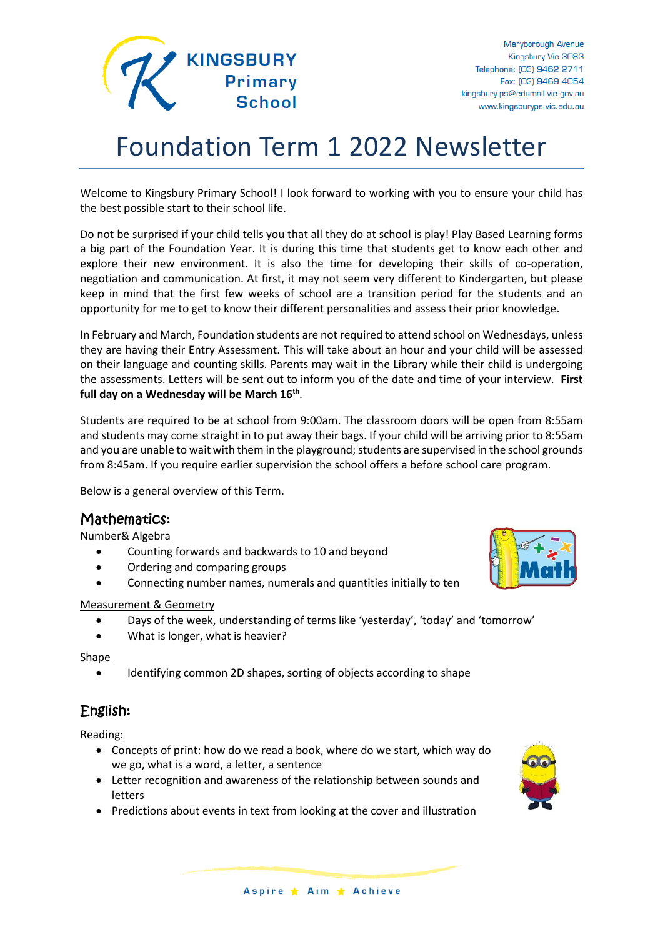

# Foundation Term 1 2022 Newsletter

Welcome to Kingsbury Primary School! I look forward to working with you to ensure your child has the best possible start to their school life.

Do not be surprised if your child tells you that all they do at school is play! Play Based Learning forms a big part of the Foundation Year. It is during this time that students get to know each other and explore their new environment. It is also the time for developing their skills of co-operation, negotiation and communication. At first, it may not seem very different to Kindergarten, but please keep in mind that the first few weeks of school are a transition period for the students and an opportunity for me to get to know their different personalities and assess their prior knowledge.

In February and March, Foundation students are not required to attend school on Wednesdays, unless they are having their Entry Assessment. This will take about an hour and your child will be assessed on their language and counting skills. Parents may wait in the Library while their child is undergoing the assessments. Letters will be sent out to inform you of the date and time of your interview. **First full day on a Wednesday will be March 16th** .

Students are required to be at school from 9:00am. The classroom doors will be open from 8:55am and students may come straight in to put away their bags. If your child will be arriving prior to 8:55am and you are unable to wait with them in the playground; students are supervised in the school grounds from 8:45am. If you require earlier supervision the school offers a before school care program.

Below is a general overview of this Term.

# Mathematics:

#### Number& Algebra

- Counting forwards and backwards to 10 and beyond
- Ordering and comparing groups
- Connecting number names, numerals and quantities initially to ten

#### Measurement & Geometry

- Days of the week, understanding of terms like 'yesterday', 'today' and 'tomorrow'
- What is longer, what is heavier?

Shape

Identifying common 2D shapes, sorting of objects according to shape

# English:

Reading:

- Concepts of print: how do we read a book, where do we start, which way do we go, what is a word, a letter, a sentence
- Letter recognition and awareness of the relationship between sounds and letters
- Predictions about events in text from looking at the cover and illustration

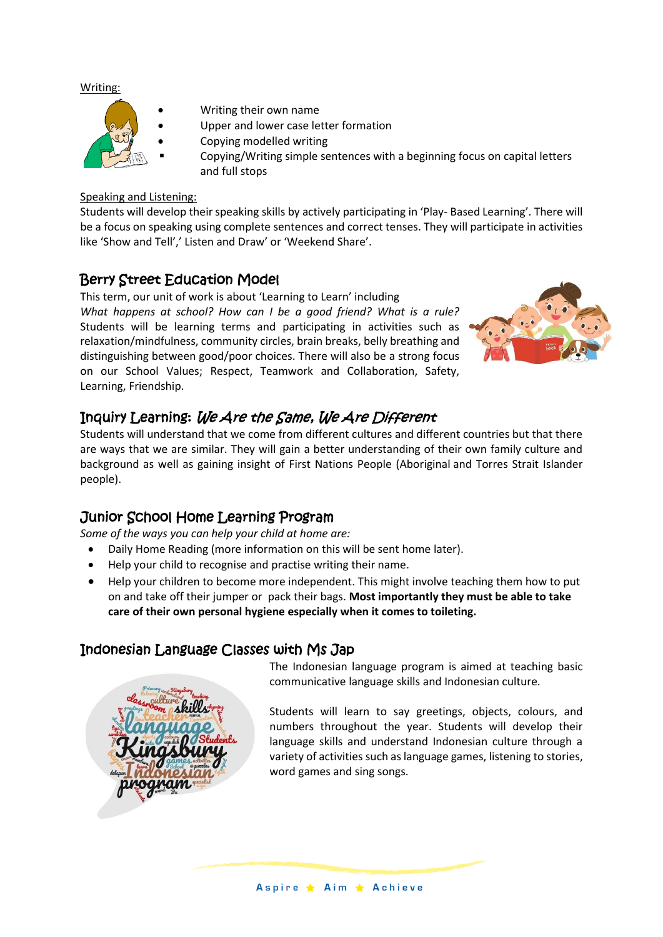#### Writing:



- Writing their own name
- Upper and lower case letter formation
- Copying modelled writing
	- Copying/Writing simple sentences with a beginning focus on capital letters and full stops

#### Speaking and Listening:

Students will develop their speaking skills by actively participating in 'Play- Based Learning'. There will be a focus on speaking using complete sentences and correct tenses. They will participate in activities like 'Show and Tell',' Listen and Draw' or 'Weekend Share'.

### Berry Street Education Model

This term, our unit of work is about 'Learning to Learn' including *What happens at school? How can I be a good friend? What is a rule?* Students will be learning terms and participating in activities such as relaxation/mindfulness, community circles, brain breaks, belly breathing and distinguishing between good/poor choices. There will also be a strong focus on our School Values; Respect, Teamwork and Collaboration, Safety, Learning, Friendship.



# Inquiry Learning: We Are the Same, We Are Different

Students will understand that we come from different cultures and different countries but that there are ways that we are similar. They will gain a better understanding of their own family culture and background as well as gaining insight of First Nations People (Aboriginal and Torres Strait Islander people).

# Junior School Home Learning Program

*Some of the ways you can help your child at home are:*

- Daily Home Reading (more information on this will be sent home later).
- Help your child to recognise and practise writing their name.
- Help your children to become more independent. This might involve teaching them how to put on and take off their jumper or pack their bags. **Most importantly they must be able to take care of their own personal hygiene especially when it comes to toileting.**

# Indonesian Language Classes with Ms Jap

The Indonesian language program is aimed at teaching basic communicative language skills and Indonesian culture.

Students will learn to say greetings, objects, colours, and numbers throughout the year. Students will develop their language skills and understand Indonesian culture through a variety of activities such as language games, listening to stories, word games and sing songs.